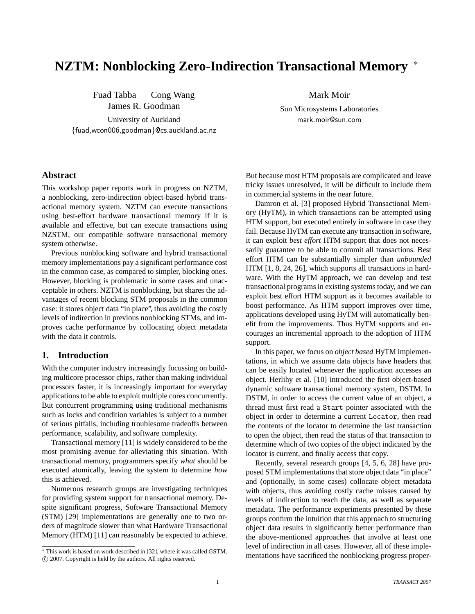# **NZTM: Nonblocking Zero-Indirection Transactional Memory** <sup>∗</sup>

Fuad Tabba Cong Wang James R. Goodman University of Auckland {fuad,wcon006,goodman}@cs.auckland.ac.nz Mark Moir

Sun Microsystems Laboratories mark.moir@sun.com

## **Abstract**

This workshop paper reports work in progress on NZTM, a nonblocking, zero-indirection object-based hybrid transactional memory system. NZTM can execute transactions using best-effort hardware transactional memory if it is available and effective, but can execute transactions using NZSTM, our compatible software transactional memory system otherwise.

Previous nonblocking software and hybrid transactional memory implementations pay a significant performance cost in the common case, as compared to simpler, blocking ones. However, blocking is problematic in some cases and unacceptable in others. NZTM is nonblocking, but shares the advantages of recent blocking STM proposals in the common case: it stores object data "in place", thus avoiding the costly levels of indirection in previous nonblocking STMs, and improves cache performance by collocating object metadata with the data it controls.

## **1. Introduction**

With the computer industry increasingly focussing on building multicore processor chips, rather than making individual processors faster, it is increasingly important for everyday applications to be able to exploit multiple cores concurrently. But concurrent programming using traditional mechanisms such as locks and condition variables is subject to a number of serious pitfalls, including troublesome tradeoffs between performance, scalability, and software complexity.

Transactional memory [11] is widely considered to be the most promising avenue for alleviating this situation. With transactional memory, programmers specify *what* should be executed atomically, leaving the system to determine *how* this is achieved.

Numerous research groups are investigating techniques for providing system support for transactional memory. Despite significant progress, Software Transactional Memory (STM) [29] implementations are generally one to two orders of magnitude slower than what Hardware Transactional Memory (HTM) [11] can reasonably be expected to achieve.

But because most HTM proposals are complicated and leave tricky issues unresolved, it will be difficult to include them in commercial systems in the near future.

Damron et al. [3] proposed Hybrid Transactional Memory (HyTM), in which transactions can be attempted using HTM support, but executed entirely in software in case they fail. Because HyTM can execute any transaction in software, it can exploit *best effort* HTM support that does not necessarily guarantee to be able to commit all transactions. Best effort HTM can be substantially simpler than *unbounded* HTM [1, 8, 24, 26], which supports all transactions in hardware. With the HyTM approach, we can develop and test transactional programs in existing systems today, and we can exploit best effort HTM support as it becomes available to boost performance. As HTM support improves over time, applications developed using HyTM will automatically benefit from the improvements. Thus HyTM supports and encourages an incremental approach to the adoption of HTM support.

In this paper, we focus on *object based* HyTM implementations, in which we assume data objects have headers that can be easily located whenever the application accesses an object. Herlihy et al. [10] introduced the first object-based dynamic software transactional memory system, DSTM. In DSTM, in order to access the current value of an object, a thread must first read a Start pointer associated with the object in order to determine a current Locator, then read the contents of the locator to determine the last transaction to open the object, then read the status of that transaction to determine which of two copies of the object indicated by the locator is current, and finally access that copy.

Recently, several research groups [4, 5, 6, 28] have proposed STM implementations that store object data "in place" and (optionally, in some cases) collocate object metadata with objects, thus avoiding costly cache misses caused by levels of indirection to reach the data, as well as separate metadata. The performance experiments presented by these groups confirm the intuition that this approach to structuring object data results in significantly better performance than the above-mentioned approaches that involve at least one level of indirection in all cases. However, all of these implementations have sacrificed the nonblocking progress proper-

<sup>∗</sup> This work is based on work described in [32], where it was called GSTM. c 2007. Copyright is held by the authors. All rights reserved.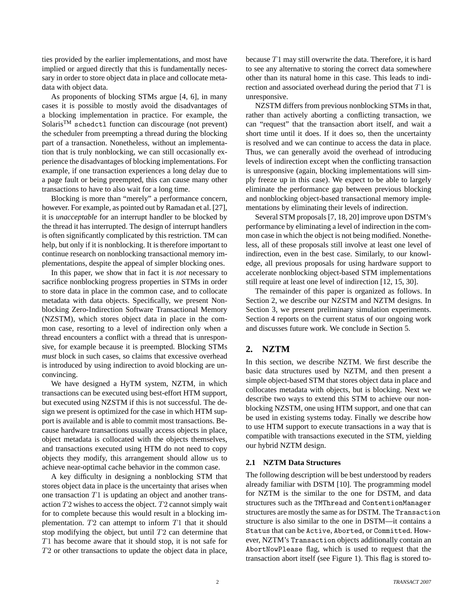ties provided by the earlier implementations, and most have implied or argued directly that this is fundamentally necessary in order to store object data in place and collocate metadata with object data.

As proponents of blocking STMs argue [4, 6], in many cases it is possible to mostly avoid the disadvantages of a blocking implementation in practice. For example, the SolarisTM schedctl function can discourage (not prevent) the scheduler from preempting a thread during the blocking part of a transaction. Nonetheless, without an implementation that is truly nonblocking, we can still occasionally experience the disadvantages of blocking implementations. For example, if one transaction experiences a long delay due to a page fault or being preempted, this can cause many other transactions to have to also wait for a long time.

Blocking is more than "merely" a performance concern, however. For example, as pointed out by Ramadan et al. [27], it is *unacceptable* for an interrupt handler to be blocked by the thread it has interrupted. The design of interrupt handlers is often significantly complicated by this restriction. TM can help, but only if it is nonblocking. It is therefore important to continue research on nonblocking transactional memory implementations, despite the appeal of simpler blocking ones.

In this paper, we show that in fact it is *not* necessary to sacrifice nonblocking progress properties in STMs in order to store data in place in the common case, and to collocate metadata with data objects. Specifically, we present Nonblocking Zero-Indirection Software Transactional Memory (NZSTM), which stores object data in place in the common case, resorting to a level of indirection only when a thread encounters a conflict with a thread that is unresponsive, for example because it is preempted. Blocking STMs *must* block in such cases, so claims that excessive overhead is introduced by using indirection to avoid blocking are unconvincing.

We have designed a HyTM system, NZTM, in which transactions can be executed using best-effort HTM support, but executed using NZSTM if this is not successful. The design we present is optimized for the case in which HTM support is available and is able to commit most transactions. Because hardware transactions usually access objects in place, object metadata is collocated with the objects themselves, and transactions executed using HTM do not need to copy objects they modify, this arrangement should allow us to achieve near-optimal cache behavior in the common case.

A key difficulty in designing a nonblocking STM that stores object data in place is the uncertainty that arises when one transaction  $T1$  is updating an object and another transaction T2 wishes to access the object. T2 cannot simply wait for to complete because this would result in a blocking implementation.  $T2$  can attempt to inform  $T1$  that it should stop modifying the object, but until  $T2$  can determine that T1 has become aware that it should stop, it is not safe for T2 or other transactions to update the object data in place,

because T1 may still overwrite the data. Therefore, it is hard to see any alternative to storing the correct data somewhere other than its natural home in this case. This leads to indirection and associated overhead during the period that T1 is unresponsive.

NZSTM differs from previous nonblocking STMs in that, rather than actively aborting a conflicting transaction, we can "request" that the transaction abort itself, and wait a short time until it does. If it does so, then the uncertainty is resolved and we can continue to access the data in place. Thus, we can generally avoid the overhead of introducing levels of indirection except when the conflicting transaction is unresponsive (again, blocking implementations will simply freeze up in this case). We expect to be able to largely eliminate the performance gap between previous blocking and nonblocking object-based transactional memory implementations by eliminating their levels of indirection.

Several STM proposals [7, 18, 20] improve upon DSTM's performance by eliminating a level of indirection in the common case in which the object is not being modified. Nonetheless, all of these proposals still involve at least one level of indirection, even in the best case. Similarly, to our knowledge, all previous proposals for using hardware support to accelerate nonblocking object-based STM implementations still require at least one level of indirection [12, 15, 30].

The remainder of this paper is organized as follows. In Section 2, we describe our NZSTM and NZTM designs. In Section 3, we present preliminary simulation experiments. Section 4 reports on the current status of our ongoing work and discusses future work. We conclude in Section 5.

# **2. NZTM**

In this section, we describe NZTM. We first describe the basic data structures used by NZTM, and then present a simple object-based STM that stores object data in place and collocates metadata with objects, but is blocking. Next we describe two ways to extend this STM to achieve our nonblocking NZSTM, one using HTM support, and one that can be used in existing systems today. Finally we describe how to use HTM support to execute transactions in a way that is compatible with transactions executed in the STM, yielding our hybrid NZTM design.

#### **2.1 NZTM Data Structures**

The following description will be best understood by readers already familiar with DSTM [10]. The programming model for NZTM is the similar to the one for DSTM, and data structures such as the TMThread and ContentionManager structures are mostly the same as for DSTM. The Transaction structure is also similar to the one in DSTM—it contains a Status that can be Active, Aborted, or Committed. However, NZTM's Transaction objects additionally contain an AbortNowPlease flag, which is used to request that the transaction abort itself (see Figure 1). This flag is stored to-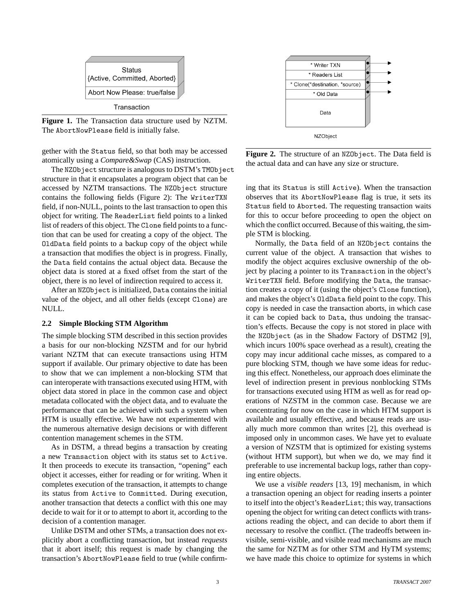

**Figure 1.** The Transaction data structure used by NZTM. The AbortNowPlease field is initially false.

gether with the Status field, so that both may be accessed atomically using a *Compare&Swap* (CAS) instruction.

The NZObject structure is analogous to DSTM's TMObject structure in that it encapsulates a program object that can be accessed by NZTM transactions. The NZObject structure contains the following fields (Figure 2): The WriterTXN field, if non-NULL, points to the last transaction to open this object for writing. The ReaderList field points to a linked list of readers of this object. The Clone field points to a function that can be used for creating a copy of the object. The OldData field points to a backup copy of the object while a transaction that modifies the object is in progress. Finally, the Data field contains the actual object data. Because the object data is stored at a fixed offset from the start of the object, there is no level of indirection required to access it.

After an NZObject is initialized, Data contains the initial value of the object, and all other fields (except Clone) are NULL.

#### **2.2 Simple Blocking STM Algorithm**

The simple blocking STM described in this section provides a basis for our non-blocking NZSTM and for our hybrid variant NZTM that can execute transactions using HTM support if available. Our primary objective to date has been to show that we can implement a non-blocking STM that can interoperate with transactions executed using HTM, with object data stored in place in the common case and object metadata collocated with the object data, and to evaluate the performance that can be achieved with such a system when HTM is usually effective. We have not experimented with the numerous alternative design decisions or with different contention management schemes in the STM.

As in DSTM, a thread begins a transaction by creating a new Transaction object with its status set to Active. It then proceeds to execute its transaction, "opening" each object it accesses, either for reading or for writing. When it completes execution of the transaction, it attempts to change its status from Active to Committed. During execution, another transaction that detects a conflict with this one may decide to wait for it or to attempt to abort it, according to the decision of a contention manager.

Unlike DSTM and other STMs, a transaction does not explicitly abort a conflicting transaction, but instead *requests* that it abort itself; this request is made by changing the transaction's AbortNowPlease field to true (while confirm-



**Figure 2.** The structure of an NZObject. The Data field is the actual data and can have any size or structure.

ing that its Status is still Active). When the transaction observes that its AbortNowPlease flag is true, it sets its Status field to Aborted. The requesting transaction waits for this to occur before proceeding to open the object on which the conflict occurred. Because of this waiting, the simple STM is blocking.

Normally, the Data field of an NZObject contains the current value of the object. A transaction that wishes to modify the object acquires exclusive ownership of the object by placing a pointer to its Transaction in the object's WriterTXN field. Before modifying the Data, the transaction creates a copy of it (using the object's Clone function), and makes the object's OldData field point to the copy. This copy is needed in case the transaction aborts, in which case it can be copied back to Data, thus undoing the transaction's effects. Because the copy is not stored in place with the NZObject (as in the Shadow Factory of DSTM2 [9], which incurs 100% space overhead as a result), creating the copy may incur additional cache misses, as compared to a pure blocking STM, though we have some ideas for reducing this effect. Nonetheless, our approach does eliminate the level of indirection present in previous nonblocking STMs for transactions executed using HTM as well as for read operations of NZSTM in the common case. Because we are concentrating for now on the case in which HTM support is available and usually effective, and because reads are usually much more common than writes [2], this overhead is imposed only in uncommon cases. We have yet to evaluate a version of NZSTM that is optimized for existing systems (without HTM support), but when we do, we may find it preferable to use incremental backup logs, rather than copying entire objects.

We use a *visible readers* [13, 19] mechanism, in which a transaction opening an object for reading inserts a pointer to itself into the object's ReaderList; this way, transactions opening the object for writing can detect conflicts with transactions reading the object, and can decide to abort them if necessary to resolve the conflict. (The tradeoffs between invisible, semi-visible, and visible read mechanisms are much the same for NZTM as for other STM and HyTM systems; we have made this choice to optimize for systems in which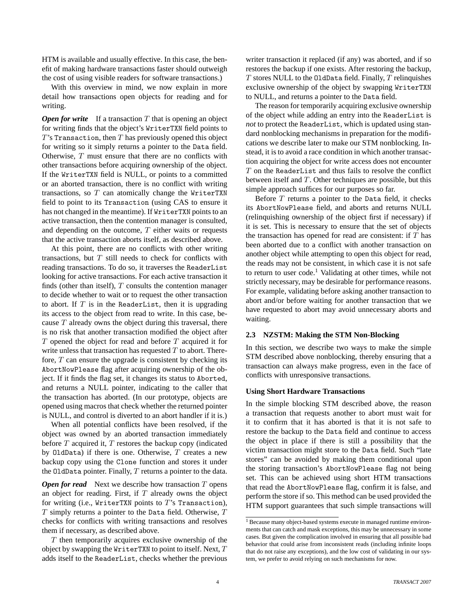HTM is available and usually effective. In this case, the benefit of making hardware transactions faster should outweigh the cost of using visible readers for software transactions.)

With this overview in mind, we now explain in more detail how transactions open objects for reading and for writing.

*Open for write* If a transaction T that is opening an object for writing finds that the object's WriterTXN field points to  $T$ 's Transaction, then  $T$  has previously opened this object for writing so it simply returns a pointer to the Data field. Otherwise, T must ensure that there are no conflicts with other transactions before acquiring ownership of the object. If the WriterTXN field is NULL, or points to a committed or an aborted transaction, there is no conflict with writing transactions, so  $T$  can atomically change the WriterTXN field to point to its Transaction (using CAS to ensure it has not changed in the meantime). If WriterTXN points to an active transaction, then the contention manager is consulted, and depending on the outcome,  $T$  either waits or requests that the active transaction aborts itself, as described above.

At this point, there are no conflicts with other writing transactions, but  $T$  still needs to check for conflicts with reading transactions. To do so, it traverses the ReaderList looking for active transactions. For each active transaction it finds (other than itself),  $T$  consults the contention manager to decide whether to wait or to request the other transaction to abort. If  $T$  is in the ReaderList, then it is upgrading its access to the object from read to write. In this case, because  $T$  already owns the object during this traversal, there is no risk that another transaction modified the object after T opened the object for read and before T acquired it for write unless that transaction has requested  $T$  to abort. Therefore,  $T$  can ensure the upgrade is consistent by checking its AbortNowPlease flag after acquiring ownership of the object. If it finds the flag set, it changes its status to Aborted, and returns a NULL pointer, indicating to the caller that the transaction has aborted. (In our prototype, objects are opened using macros that check whether the returned pointer is NULL, and control is diverted to an abort handler if it is.)

When all potential conflicts have been resolved, if the object was owned by an aborted transaction immediately before  $T$  acquired it,  $T$  restores the backup copy (indicated by OldData) if there is one. Otherwise,  $T$  creates a new backup copy using the Clone function and stores it under the OldData pointer. Finally,  $T$  returns a pointer to the data.

*Open for read* Next we describe how transaction T opens an object for reading. First, if  $T$  already owns the object for writing (i.e., WriterTXN points to  $T$ 's Transaction),  $T$  simply returns a pointer to the Data field. Otherwise,  $T$ checks for conflicts with writing transactions and resolves them if necessary, as described above.

T then temporarily acquires exclusive ownership of the object by swapping the WriterTXN to point to itself. Next, T adds itself to the ReaderList, checks whether the previous

writer transaction it replaced (if any) was aborted, and if so restores the backup if one exists. After restoring the backup,  $T$  stores NULL to the OldData field. Finally,  $T$  relinquishes exclusive ownership of the object by swapping WriterTXN to NULL, and returns a pointer to the Data field.

The reason for temporarily acquiring exclusive ownership of the object while adding an entry into the ReaderList is *not* to protect the ReaderList, which is updated using standard nonblocking mechanisms in preparation for the modifications we describe later to make our STM nonblocking. Instead, it is to avoid a race condition in which another transaction acquiring the object for write access does not encounter  $T$  on the ReaderList and thus fails to resolve the conflict between itself and  $T$ . Other techniques are possible, but this simple approach suffices for our purposes so far.

Before  $T$  returns a pointer to the Data field, it checks its AbortNowPlease field, and aborts and returns NULL (relinquishing ownership of the object first if necessary) if it is set. This is necessary to ensure that the set of objects the transaction has opened for read are consistent: if  $T$  has been aborted due to a conflict with another transaction on another object while attempting to open this object for read, the reads may not be consistent, in which case it is not safe to return to user code.<sup>1</sup> Validating at other times, while not strictly necessary, may be desirable for performance reasons. For example, validating before asking another transaction to abort and/or before waiting for another transaction that we have requested to abort may avoid unnecessary aborts and waiting.

#### **2.3 NZSTM: Making the STM Non-Blocking**

In this section, we describe two ways to make the simple STM described above nonblocking, thereby ensuring that a transaction can always make progress, even in the face of conflicts with unresponsive transactions.

#### **Using Short Hardware Transactions**

In the simple blocking STM described above, the reason a transaction that requests another to abort must wait for it to confirm that it has aborted is that it is not safe to restore the backup to the Data field and continue to access the object in place if there is still a possibility that the victim transaction might store to the Data field. Such "late stores" can be avoided by making them conditional upon the storing transaction's AbortNowPlease flag not being set. This can be achieved using short HTM transactions that read the AbortNowPlease flag, confirm it is false, and perform the store if so. This method can be used provided the HTM support guarantees that such simple transactions will

<sup>&</sup>lt;sup>1</sup> Because many object-based systems execute in managed runtime environments that can catch and mask exceptions, this may be unnecessary in some cases. But given the complication involved in ensuring that all possible bad behavior that could arise from inconsistent reads (including infinite loops that do not raise any exceptions), and the low cost of validating in our system, we prefer to avoid relying on such mechanisms for now.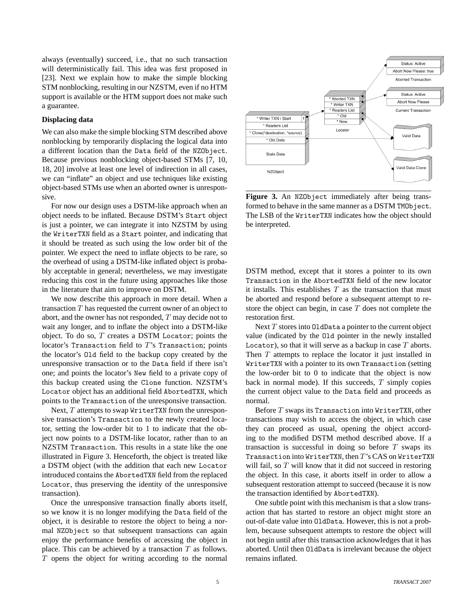always (eventually) succeed, i.e., that no such transaction will deterministically fail. This idea was first proposed in [23]. Next we explain how to make the simple blocking STM nonblocking, resulting in our NZSTM, even if no HTM support is available or the HTM support does not make such a guarantee.

#### **Displacing data**

We can also make the simple blocking STM described above nonblocking by temporarily displacing the logical data into a different location than the Data field of the NZObject. Because previous nonblocking object-based STMs [7, 10, 18, 20] involve at least one level of indirection in all cases, we can "inflate" an object and use techniques like existing object-based STMs use when an aborted owner is unresponsive.

For now our design uses a DSTM-like approach when an object needs to be inflated. Because DSTM's Start object is just a pointer, we can integrate it into NZSTM by using the WriterTXN field as a Start pointer, and indicating that it should be treated as such using the low order bit of the pointer. We expect the need to inflate objects to be rare, so the overhead of using a DSTM-like inflated object is probably acceptable in general; nevertheless, we may investigate reducing this cost in the future using approaches like those in the literature that aim to improve on DSTM.

We now describe this approach in more detail. When a transaction T has requested the current owner of an object to abort, and the owner has not responded, T may decide not to wait any longer, and to inflate the object into a DSTM-like object. To do so,  $T$  creates a DSTM Locator; points the locator's Transaction field to T's Transaction; points the locator's Old field to the backup copy created by the unresponsive transaction or to the Data field if there isn't one; and points the locator's New field to a private copy of this backup created using the Clone function. NZSTM's Locator object has an additional field AbortedTXN, which points to the Transaction of the unresponsive transaction.

Next,  $T$  attempts to swap WriterTXN from the unresponsive transaction's Transaction to the newly created locator, setting the low-order bit to 1 to indicate that the object now points to a DSTM-like locator, rather than to an NZSTM Transaction. This results in a state like the one illustrated in Figure 3. Henceforth, the object is treated like a DSTM object (with the addition that each new Locator introduced contains the AbortedTXN field from the replaced Locator, thus preserving the identity of the unresponsive transaction).

Once the unresponsive transaction finally aborts itself, so we know it is no longer modifying the Data field of the object, it is desirable to restore the object to being a normal NZObject so that subsequent transactions can again enjoy the performance benefits of accessing the object in place. This can be achieved by a transaction  $T$  as follows. T opens the object for writing according to the normal



Figure 3. An NZObject immediately after being transformed to behave in the same manner as a DSTM TM0bject. The LSB of the WriterTXN indicates how the object should be interpreted.

DSTM method, except that it stores a pointer to its own Transaction in the AbortedTXN field of the new locator it installs. This establishes  $T$  as the transaction that must be aborted and respond before a subsequent attempt to restore the object can begin, in case  $T$  does not complete the restoration first.

Next  $T$  stores into 01dData a pointer to the current object value (indicated by the Old pointer in the newly installed Locator), so that it will serve as a backup in case  $T$  aborts. Then  $T$  attempts to replace the locator it just installed in WriterTXN with a pointer to its own Transaction (setting the low-order bit to 0 to indicate that the object is now back in normal mode). If this succeeds,  $T$  simply copies the current object value to the Data field and proceeds as normal.

Before  $T$  swaps its Transaction into WriterTXN, other transactions may wish to access the object, in which case they can proceed as usual, opening the object according to the modified DSTM method described above. If a transaction is successful in doing so before  $T$  swaps its Transaction into WriterTXN, then T's CAS on WriterTXN will fail, so  $T$  will know that it did not succeed in restoring the object. In this case, it aborts itself in order to allow a subsequent restoration attempt to succeed (because it is now the transaction identified by AbortedTXN).

One subtle point with this mechanism is that a slow transaction that has started to restore an object might store an out-of-date value into OldData. However, this is not a problem, because subsequent attempts to restore the object will not begin until after this transaction acknowledges that it has aborted. Until then OldData is irrelevant because the object remains inflated.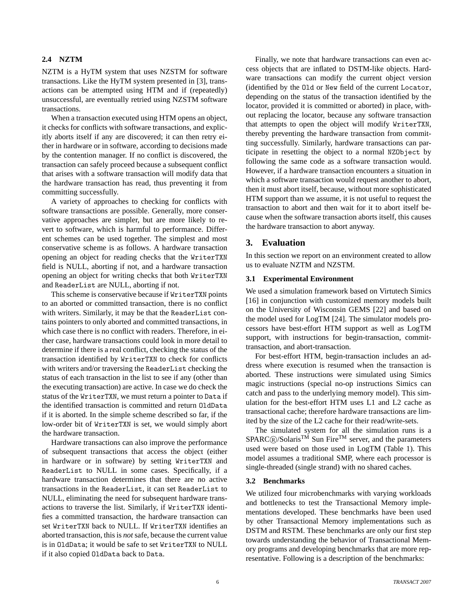## **2.4 NZTM**

NZTM is a HyTM system that uses NZSTM for software transactions. Like the HyTM system presented in [3], transactions can be attempted using HTM and if (repeatedly) unsuccessful, are eventually retried using NZSTM software transactions.

When a transaction executed using HTM opens an object, it checks for conflicts with software transactions, and explicitly aborts itself if any are discovered; it can then retry either in hardware or in software, according to decisions made by the contention manager. If no conflict is discovered, the transaction can safely proceed because a subsequent conflict that arises with a software transaction will modify data that the hardware transaction has read, thus preventing it from committing successfully.

A variety of approaches to checking for conflicts with software transactions are possible. Generally, more conservative approaches are simpler, but are more likely to revert to software, which is harmful to performance. Different schemes can be used together. The simplest and most conservative scheme is as follows. A hardware transaction opening an object for reading checks that the WriterTXN field is NULL, aborting if not, and a hardware transaction opening an object for writing checks that both WriterTXN and ReaderList are NULL, aborting if not.

This scheme is conservative because if WriterTXN points to an aborted or committed transaction, there is no conflict with writers. Similarly, it may be that the ReaderList contains pointers to only aborted and committed transactions, in which case there is no conflict with readers. Therefore, in either case, hardware transactions could look in more detail to determine if there is a real conflict, checking the status of the transaction identified by WriterTXN to check for conflicts with writers and/or traversing the ReaderList checking the status of each transaction in the list to see if any (other than the executing transaction) are active. In case we do check the status of the WriterTXN, we must return a pointer to Data if the identified transaction is committed and return OldData if it is aborted. In the simple scheme described so far, if the low-order bit of WriterTXN is set, we would simply abort the hardware transaction.

Hardware transactions can also improve the performance of subsequent transactions that access the object (either in hardware or in software) by setting WriterTXN and ReaderList to NULL in some cases. Specifically, if a hardware transaction determines that there are no active transactions in the ReaderList, it can set ReaderList to NULL, eliminating the need for subsequent hardware transactions to traverse the list. Similarly, if WriterTXN identifies a committed transaction, the hardware transaction can set WriterTXN back to NULL. If WriterTXN identifies an aborted transaction, this is *not* safe, because the current value is in OldData; it would be safe to set WriterTXN to NULL if it also copied OldData back to Data.

Finally, we note that hardware transactions can even access objects that are inflated to DSTM-like objects. Hardware transactions can modify the current object version (identified by the Old or New field of the current Locator, depending on the status of the transaction identified by the locator, provided it is committed or aborted) in place, without replacing the locator, because any software transaction that attempts to open the object will modify WriterTXN, thereby preventing the hardware transaction from committing successfully. Similarly, hardware transactions can participate in resetting the object to a normal NZObject by following the same code as a software transaction would. However, if a hardware transaction encounters a situation in which a software transaction would request another to abort, then it must abort itself, because, without more sophisticated HTM support than we assume, it is not useful to request the transaction to abort and then wait for it to abort itself because when the software transaction aborts itself, this causes the hardware transaction to abort anyway.

## **3. Evaluation**

In this section we report on an environment created to allow us to evaluate NZTM and NZSTM.

#### **3.1 Experimental Environment**

We used a simulation framework based on Virtutech Simics [16] in conjunction with customized memory models built on the University of Wisconsin GEMS [22] and based on the model used for LogTM [24]. The simulator models processors have best-effort HTM support as well as LogTM support, with instructions for begin-transaction, committransaction, and abort-transaction.

For best-effort HTM, begin-transaction includes an address where execution is resumed when the transaction is aborted. These instructions were simulated using Simics magic instructions (special no-op instructions Simics can catch and pass to the underlying memory model). This simulation for the best-effort HTM uses L1 and L2 cache as transactional cache; therefore hardware transactions are limited by the size of the L2 cache for their read/write-sets.

The simulated system for all the simulation runs is a  $SPARC(R)/Solaris^{TM}$  Sun Fire<sup>TM</sup> server, and the parameters used were based on those used in LogTM (Table 1). This model assumes a traditional SMP, where each processor is single-threaded (single strand) with no shared caches.

#### **3.2 Benchmarks**

We utilized four microbenchmarks with varying workloads and bottlenecks to test the Transactional Memory implementations developed. These benchmarks have been used by other Transactional Memory implementations such as DSTM and RSTM. These benchmarks are only our first step towards understanding the behavior of Transactional Memory programs and developing benchmarks that are more representative. Following is a description of the benchmarks: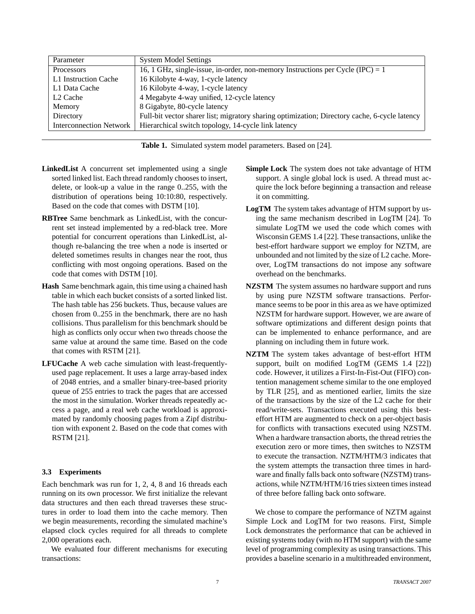| Parameter            | <b>System Model Settings</b>                                                                  |
|----------------------|-----------------------------------------------------------------------------------------------|
| Processors           | 16, 1 GHz, single-issue, in-order, non-memory Instructions per Cycle (IPC) = 1                |
| L1 Instruction Cache | 16 Kilobyte 4-way, 1-cycle latency                                                            |
| L1 Data Cache        | 16 Kilobyte 4-way, 1-cycle latency                                                            |
| L <sub>2</sub> Cache | 4 Megabyte 4-way unified, 12-cycle latency                                                    |
| Memory               | 8 Gigabyte, 80-cycle latency                                                                  |
| Directory            | Full-bit vector sharer list; migratory sharing optimization; Directory cache, 6-cycle latency |
|                      | Interconnection Network   Hierarchical switch topology, 14-cycle link latency                 |

**Table 1.** Simulated system model parameters. Based on [24].

- **LinkedList** A concurrent set implemented using a single sorted linked list. Each thread randomly chooses to insert, delete, or look-up a value in the range 0..255, with the distribution of operations being 10:10:80, respectively. Based on the code that comes with DSTM [10].
- **RBTree** Same benchmark as LinkedList, with the concurrent set instead implemented by a red-black tree. More potential for concurrent operations than LinkedList, although re-balancing the tree when a node is inserted or deleted sometimes results in changes near the root, thus conflicting with most ongoing operations. Based on the code that comes with DSTM [10].
- **Hash** Same benchmark again, this time using a chained hash table in which each bucket consists of a sorted linked list. The hash table has 256 buckets. Thus, because values are chosen from 0..255 in the benchmark, there are no hash collisions. Thus parallelism for this benchmark should be high as conflicts only occur when two threads choose the same value at around the same time. Based on the code that comes with RSTM [21].
- **LFUCache** A web cache simulation with least-frequentlyused page replacement. It uses a large array-based index of 2048 entries, and a smaller binary-tree-based priority queue of 255 entries to track the pages that are accessed the most in the simulation. Worker threads repeatedly access a page, and a real web cache workload is approximated by randomly choosing pages from a Zipf distribution with exponent 2. Based on the code that comes with RSTM [21].

#### **3.3 Experiments**

Each benchmark was run for 1, 2, 4, 8 and 16 threads each running on its own processor. We first initialize the relevant data structures and then each thread traverses these structures in order to load them into the cache memory. Then we begin measurements, recording the simulated machine's elapsed clock cycles required for all threads to complete 2,000 operations each.

We evaluated four different mechanisms for executing transactions:

- **Simple Lock** The system does not take advantage of HTM support. A single global lock is used. A thread must acquire the lock before beginning a transaction and release it on committing.
- **LogTM** The system takes advantage of HTM support by using the same mechanism described in LogTM [24]. To simulate LogTM we used the code which comes with Wisconsin GEMS 1.4 [22]. These transactions, unlike the best-effort hardware support we employ for NZTM, are unbounded and not limited by the size of L2 cache. Moreover, LogTM transactions do not impose any software overhead on the benchmarks.
- **NZSTM** The system assumes no hardware support and runs by using pure NZSTM software transactions. Performance seems to be poor in this area as we have optimized NZSTM for hardware support. However, we are aware of software optimizations and different design points that can be implemented to enhance performance, and are planning on including them in future work.
- **NZTM** The system takes advantage of best-effort HTM support, built on modified LogTM (GEMS 1.4 [22]) code. However, it utilizes a First-In-Fist-Out (FIFO) contention management scheme similar to the one employed by TLR [25], and as mentioned earlier, limits the size of the transactions by the size of the L2 cache for their read/write-sets. Transactions executed using this besteffort HTM are augmented to check on a per-object basis for conflicts with transactions executed using NZSTM. When a hardware transaction aborts, the thread retries the execution zero or more times, then switches to NZSTM to execute the transaction. NZTM/HTM/3 indicates that the system attempts the transaction three times in hardware and finally falls back onto software (NZSTM) transactions, while NZTM/HTM/16 tries sixteen times instead of three before falling back onto software.

We chose to compare the performance of NZTM against Simple Lock and LogTM for two reasons. First, Simple Lock demonstrates the performance that can be achieved in existing systems today (with no HTM support) with the same level of programming complexity as using transactions. This provides a baseline scenario in a multithreaded environment,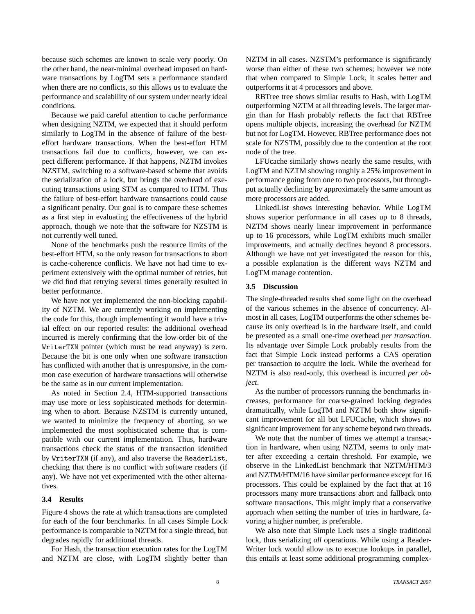because such schemes are known to scale very poorly. On the other hand, the near-minimal overhead imposed on hardware transactions by LogTM sets a performance standard when there are no conflicts, so this allows us to evaluate the performance and scalability of our system under nearly ideal conditions.

Because we paid careful attention to cache performance when designing NZTM, we expected that it should perform similarly to LogTM in the absence of failure of the besteffort hardware transactions. When the best-effort HTM transactions fail due to conflicts, however, we can expect different performance. If that happens, NZTM invokes NZSTM, switching to a software-based scheme that avoids the serialization of a lock, but brings the overhead of executing transactions using STM as compared to HTM. Thus the failure of best-effort hardware transactions could cause a significant penalty. Our goal is to compare these schemes as a first step in evaluating the effectiveness of the hybrid approach, though we note that the software for NZSTM is not currently well tuned.

None of the benchmarks push the resource limits of the best-effort HTM, so the only reason for transactions to abort is cache-coherence conflicts. We have not had time to experiment extensively with the optimal number of retries, but we did find that retrying several times generally resulted in better performance.

We have not yet implemented the non-blocking capability of NZTM. We are currently working on implementing the code for this, though implementing it would have a trivial effect on our reported results: the additional overhead incurred is merely confirming that the low-order bit of the WriterTXN pointer (which must be read anyway) is zero. Because the bit is one only when one software transaction has conflicted with another that is unresponsive, in the common case execution of hardware transactions will otherwise be the same as in our current implementation.

As noted in Section 2.4, HTM-supported transactions may use more or less sophisticated methods for determining when to abort. Because NZSTM is currently untuned, we wanted to minimize the frequency of aborting, so we implemented the most sophisticated scheme that is compatible with our current implementation. Thus, hardware transactions check the status of the transaction identified by WriterTXN (if any), and also traverse the ReaderList, checking that there is no conflict with software readers (if any). We have not yet experimented with the other alternatives.

#### **3.4 Results**

Figure 4 shows the rate at which transactions are completed for each of the four benchmarks. In all cases Simple Lock performance is comparable to NZTM for a single thread, but degrades rapidly for additional threads.

For Hash, the transaction execution rates for the LogTM and NZTM are close, with LogTM slightly better than

NZTM in all cases. NZSTM's performance is significantly worse than either of these two schemes; however we note that when compared to Simple Lock, it scales better and outperforms it at 4 processors and above.

RBTree tree shows similar results to Hash, with LogTM outperforming NZTM at all threading levels. The larger margin than for Hash probably reflects the fact that RBTree opens multiple objects, increasing the overhead for NZTM but not for LogTM. However, RBTree performance does not scale for NZSTM, possibly due to the contention at the root node of the tree.

LFUcache similarly shows nearly the same results, with LogTM and NZTM showing roughly a 25% improvement in performance going from one to two processors, but throughput actually declining by approximately the same amount as more processors are added.

LinkedList shows interesting behavior. While LogTM shows superior performance in all cases up to 8 threads, NZTM shows nearly linear improvement in performance up to 16 processors, while LogTM exhibits much smaller improvements, and actually declines beyond 8 processors. Although we have not yet investigated the reason for this, a possible explanation is the different ways NZTM and LogTM manage contention.

#### **3.5 Discussion**

The single-threaded results shed some light on the overhead of the various schemes in the absence of concurrency. Almost in all cases, LogTM outperforms the other schemes because its only overhead is in the hardware itself, and could be presented as a small one-time overhead *per transaction*. Its advantage over Simple Lock probably results from the fact that Simple Lock instead performs a CAS operation per transaction to acquire the lock. While the overhead for NZTM is also read-only, this overhead is incurred *per object*.

As the number of processors running the benchmarks increases, performance for coarse-grained locking degrades dramatically, while LogTM and NZTM both show significant improvement for all but LFUCache, which shows no significant improvement for any scheme beyond two threads.

We note that the number of times we attempt a transaction in hardware, when using NZTM, seems to only matter after exceeding a certain threshold. For example, we observe in the LinkedList benchmark that NZTM/HTM/3 and NZTM/HTM/16 have similar performance except for 16 processors. This could be explained by the fact that at 16 processors many more transactions abort and fallback onto software transactions. This might imply that a conservative approach when setting the number of tries in hardware, favoring a higher number, is preferable.

We also note that Simple Lock uses a single traditional lock, thus serializing *all* operations. While using a Reader-Writer lock would allow us to execute lookups in parallel, this entails at least some additional programming complex-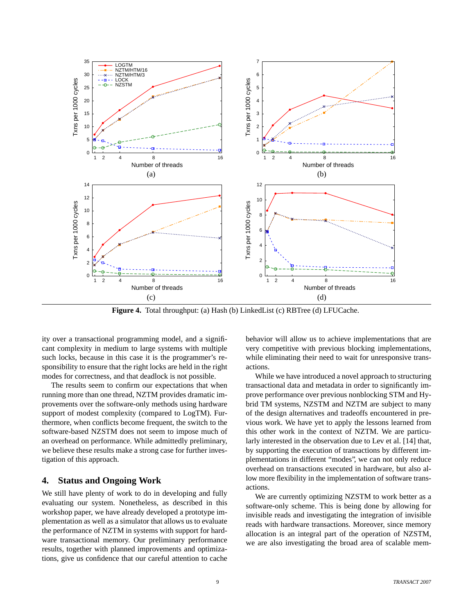

**Figure 4.** Total throughput: (a) Hash (b) LinkedList (c) RBTree (d) LFUCache.

ity over a transactional programming model, and a significant complexity in medium to large systems with multiple such locks, because in this case it is the programmer's responsibility to ensure that the right locks are held in the right modes for correctness, and that deadlock is not possible.

The results seem to confirm our expectations that when running more than one thread, NZTM provides dramatic improvements over the software-only methods using hardware support of modest complexity (compared to LogTM). Furthermore, when conflicts become frequent, the switch to the software-based NZSTM does not seem to impose much of an overhead on performance. While admittedly preliminary, we believe these results make a strong case for further investigation of this approach.

## **4. Status and Ongoing Work**

We still have plenty of work to do in developing and fully evaluating our system. Nonetheless, as described in this workshop paper, we have already developed a prototype implementation as well as a simulator that allows us to evaluate the performance of NZTM in systems with support for hardware transactional memory. Our preliminary performance results, together with planned improvements and optimizations, give us confidence that our careful attention to cache

behavior will allow us to achieve implementations that are very competitive with previous blocking implementations, while eliminating their need to wait for unresponsive transactions.

While we have introduced a novel approach to structuring transactional data and metadata in order to significantly improve performance over previous nonblocking STM and Hybrid TM systems, NZSTM and NZTM are subject to many of the design alternatives and tradeoffs encountered in previous work. We have yet to apply the lessons learned from this other work in the context of NZTM. We are particularly interested in the observation due to Lev et al. [14] that, by supporting the execution of transactions by different implementations in different "modes", we can not only reduce overhead on transactions executed in hardware, but also allow more flexibility in the implementation of software transactions.

We are currently optimizing NZSTM to work better as a software-only scheme. This is being done by allowing for invisible reads and investigating the integration of invisible reads with hardware transactions. Moreover, since memory allocation is an integral part of the operation of NZSTM, we are also investigating the broad area of scalable mem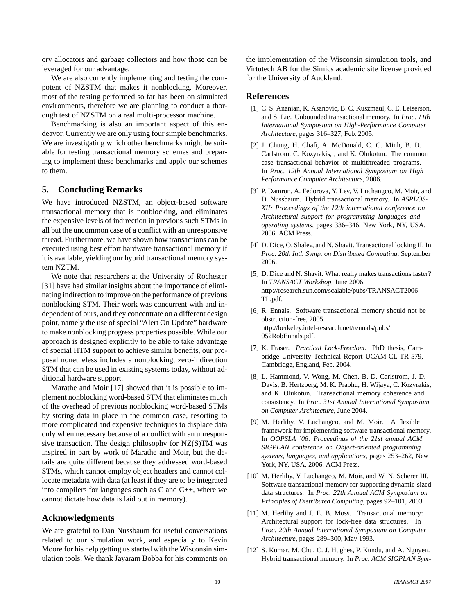ory allocators and garbage collectors and how those can be leveraged for our advantage.

We are also currently implementing and testing the compotent of NZSTM that makes it nonblocking. Moreover, most of the testing performed so far has been on simulated environments, therefore we are planning to conduct a thorough test of NZSTM on a real multi-processor machine.

Benchmarking is also an important aspect of this endeavor. Currently we are only using four simple benchmarks. We are investigating which other benchmarks might be suitable for testing transactional memory schemes and preparing to implement these benchmarks and apply our schemes to them.

## **5. Concluding Remarks**

We have introduced NZSTM, an object-based software transactional memory that is nonblocking, and eliminates the expensive levels of indirection in previous such STMs in all but the uncommon case of a conflict with an unresponsive thread. Furthermore, we have shown how transactions can be executed using best effort hardware transactional memory if it is available, yielding our hybrid transactional memory system NZTM.

We note that researchers at the University of Rochester [31] have had similar insights about the importance of eliminating indirection to improve on the performance of previous nonblocking STM. Their work was concurrent with and independent of ours, and they concentrate on a different design point, namely the use of special "Alert On Update" hardware to make nonblocking progress properties possible. While our approach is designed explicitly to be able to take advantage of special HTM support to achieve similar benefits, our proposal nonetheless includes a nonblocking, zero-indirection STM that can be used in existing systems today, without additional hardware support.

Marathe and Moir [17] showed that it is possible to implement nonblocking word-based STM that eliminates much of the overhead of previous nonblocking word-based STMs by storing data in place in the common case, resorting to more complicated and expensive techniques to displace data only when necessary because of a conflict with an unresponsive transaction. The design philosophy for NZ(S)TM was inspired in part by work of Marathe and Moir, but the details are quite different because they addressed word-based STMs, which cannot employ object headers and cannot collocate metadata with data (at least if they are to be integrated into compilers for languages such as C and C++, where we cannot dictate how data is laid out in memory).

## **Acknowledgments**

We are grateful to Dan Nussbaum for useful conversations related to our simulation work, and especially to Kevin Moore for his help getting us started with the Wisconsin simulation tools. We thank Jayaram Bobba for his comments on

the implementation of the Wisconsin simulation tools, and Virtutech AB for the Simics academic site license provided for the University of Auckland.

#### **References**

- [1] C. S. Ananian, K. Asanovic, B. C. Kuszmaul, C. E. Leiserson, and S. Lie. Unbounded transactional memory. In *Proc. 11th International Symposium on High-Performance Computer Architecture*, pages 316–327, Feb. 2005.
- [2] J. Chung, H. Chafi, A. McDonald, C. C. Minh, B. D. Carlstrom, C. Kozyrakis, , and K. Olukotun. The common case transactional behavior of multithreaded programs. In *Proc. 12th Annual International Symposium on High Performance Computer Architecture*, 2006.
- [3] P. Damron, A. Fedorova, Y. Lev, V. Luchangco, M. Moir, and D. Nussbaum. Hybrid transactional memory. In *ASPLOS-XII: Proceedings of the 12th international conference on Architectural support for programming languages and operating systems*, pages 336–346, New York, NY, USA, 2006. ACM Press.
- [4] D. Dice, O. Shalev, and N. Shavit. Transactional locking II. In *Proc. 20th Intl. Symp. on Distributed Computing*, September 2006.
- [5] D. Dice and N. Shavit. What really makes transactions faster? In *TRANSACT Workshop*, June 2006. http://research.sun.com/scalable/pubs/TRANSACT2006- TL.pdf.
- [6] R. Ennals. Software transactional memory should not be obstruction-free, 2005. http://berkeley.intel-research.net/rennals/pubs/ 052RobEnnals.pdf.
- [7] K. Fraser. *Practical Lock-Freedom*. PhD thesis, Cambridge University Technical Report UCAM-CL-TR-579, Cambridge, England, Feb. 2004.
- [8] L. Hammond, V. Wong, M. Chen, B. D. Carlstrom, J. D. Davis, B. Hertzberg, M. K. Prabhu, H. Wijaya, C. Kozyrakis, and K. Olukotun. Transactional memory coherence and consistency. In *Proc. 31st Annual International Symposium on Computer Architecture*, June 2004.
- [9] M. Herlihy, V. Luchangco, and M. Moir. A flexible framework for implementing software transactional memory. In *OOPSLA '06: Proceedings of the 21st annual ACM SIGPLAN conference on Object-oriented programming systems, languages, and applications*, pages 253–262, New York, NY, USA, 2006. ACM Press.
- [10] M. Herlihy, V. Luchangco, M. Moir, and W. N. Scherer III. Software transactional memory for supporting dynamic-sized data structures. In *Proc. 22th Annual ACM Symposium on Principles of Distributed Computing*, pages 92–101, 2003.
- [11] M. Herlihy and J. E. B. Moss. Transactional memory: Architectural support for lock-free data structures. In *Proc. 20th Annual International Symposium on Computer Architecture*, pages 289–300, May 1993.
- [12] S. Kumar, M. Chu, C. J. Hughes, P. Kundu, and A. Nguyen. Hybrid transactional memory. In *Proc. ACM SIGPLAN Sym-*